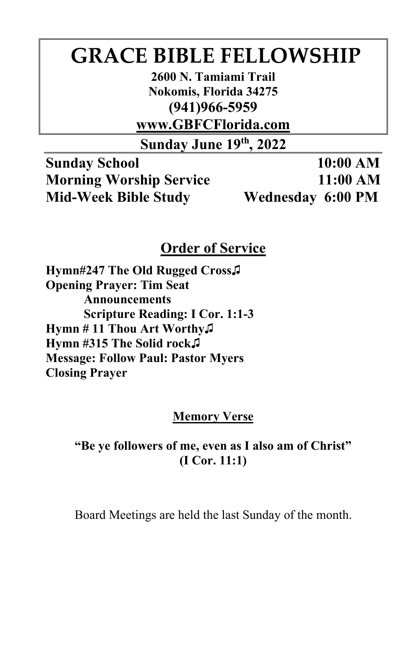# **GRACE BIBLE FELLOWSHIP**

**2600 N. Tamiami Trail Nokomis, Florida 34275 (941)966-5959** 

**www.GBFCFlorida.com**

**Sunday June 19th, 2022**

**Sunday School 10:00 AM Morning Worship Service 11:00 AM Mid-Week Bible Study Wednesday 6:00 PM**

## **Order of Service**

**Hymn#247 The Old Rugged Cross♫ Opening Prayer: Tim Seat Announcements Scripture Reading: I Cor. 1:1-3 Hymn # 11 Thou Art Worthy♫ Hymn #315 The Solid rock♫ Message: Follow Paul: Pastor Myers Closing Prayer**

## **Memory Verse**

## **"Be ye followers of me, even as I also am of Christ" (I Cor. 11:1)**

Board Meetings are held the last Sunday of the month.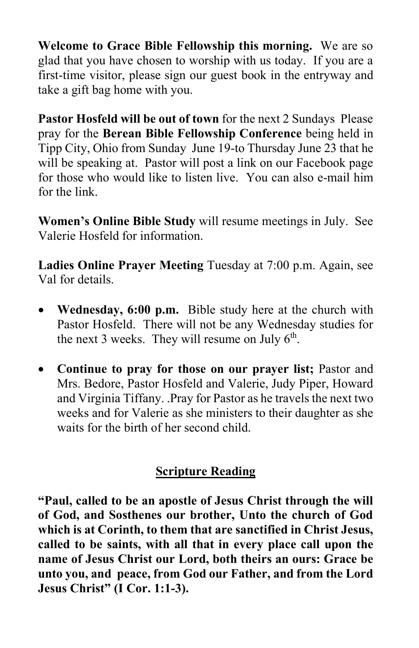**Welcome to Grace Bible Fellowship this morning.** We are so glad that you have chosen to worship with us today. If you are a first-time visitor, please sign our guest book in the entryway and take a gift bag home with you.

**Pastor Hosfeld will be out of town** for the next 2 Sundays Please pray for the **Berean Bible Fellowship Conference** being held in Tipp City, Ohio from Sunday June 19-to Thursday June 23 that he will be speaking at. Pastor will post a link on our Facebook page for those who would like to listen live. You can also e-mail him for the link.

**Women's Online Bible Study** will resume meetings in July. See Valerie Hosfeld for information.

**Ladies Online Prayer Meeting** Tuesday at 7:00 p.m. Again, see Val for details.

- **Wednesday, 6:00 p.m.** Bible study here at the church with Pastor Hosfeld. There will not be any Wednesday studies for the next 3 weeks. They will resume on July  $6<sup>th</sup>$ .
- **Continue to pray for those on our prayer list;** Pastor and Mrs. Bedore, Pastor Hosfeld and Valerie, Judy Piper, Howard and Virginia Tiffany. .Pray for Pastor as he travels the next two weeks and for Valerie as she ministers to their daughter as she waits for the birth of her second child.

## **Scripture Reading**

**"Paul, called to be an apostle of Jesus Christ through the will of God, and Sosthenes our brother, Unto the church of God which is at Corinth, to them that are sanctified in Christ Jesus, called to be saints, with all that in every place call upon the name of Jesus Christ our Lord, both theirs an ours: Grace be unto you, and peace, from God our Father, and from the Lord Jesus Christ" (I Cor. 1:1-3).**